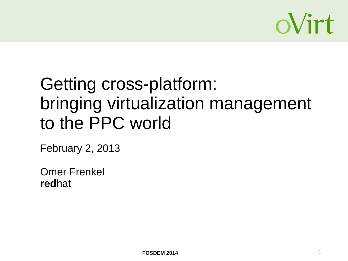

# Getting cross-platform: bringing virtualization management to the PPC world

February 2, 2013

Omer Frenkel **red**hat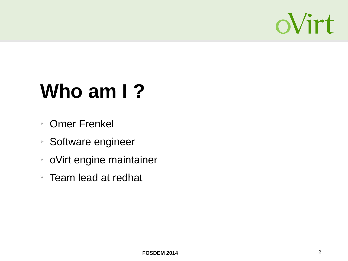

# **Who am I ?**

- ➢ Omer Frenkel
- ➢ Software engineer
- ➢ oVirt engine maintainer
- $\triangleright$  Team lead at redhat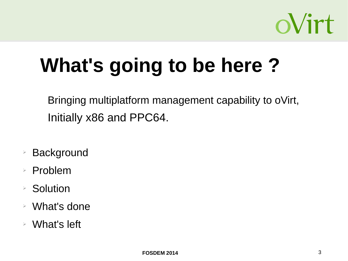

# **What's going to be here ?**

Bringing multiplatform management capability to oVirt, Initially x86 and PPC64.

- **Background**
- ➢ Problem
- ➢ Solution
- ➢ What's done
- ➢ What's left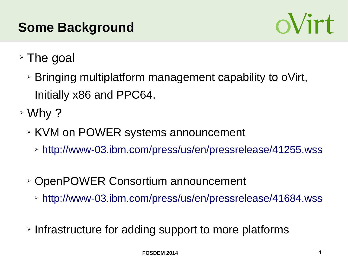# **Some Background**



- ➢ The goal
	- ➢ Bringing multiplatform management capability to oVirt, Initially x86 and PPC64.
- ➢ Why ?
	- ➢ KVM on POWER systems announcement
		- ➢ <http://www-03.ibm.com/press/us/en/pressrelease/41255.wss>
	- ➢ OpenPOWER Consortium announcement
		- ➢ <http://www-03.ibm.com/press/us/en/pressrelease/41684.wss>
	- ➢ Infrastructure for adding support to more platforms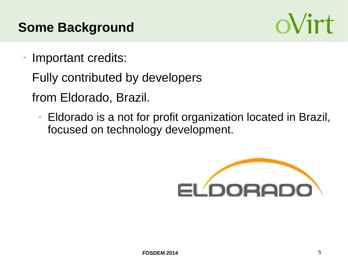## **Some Background**



- ➢ Important credits:
	- Fully contributed by developers
	- from Eldorado, Brazil.
		- ➢ Eldorado is a not for profit organization located in Brazil, focused on technology development.

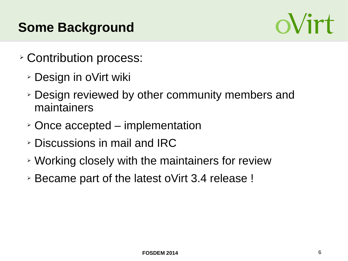# **Some Background**



- ➢ Contribution process:
	- ➢ Design in oVirt wiki
	- ➢ Design reviewed by other community members and maintainers
	- ➢ Once accepted implementation
	- ➢ Discussions in mail and IRC
	- ➢ Working closely with the maintainers for review
	- ➢ Became part of the latest oVirt 3.4 release !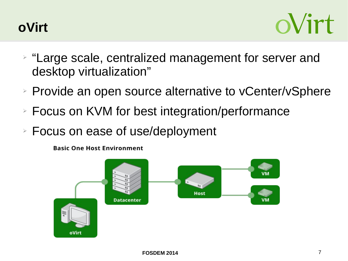



- ➢ "Large scale, centralized management for server and desktop virtualization"
- ➢ Provide an open source alternative to vCenter/vSphere
- ➢ Focus on KVM for best integration/performance
- ➢ Focus on ease of use/deployment

**Basic One Host Environment** 

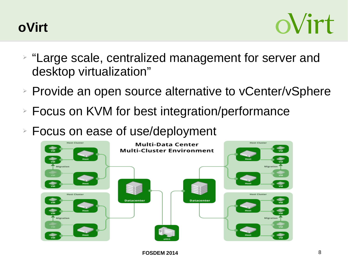



- ➢ "Large scale, centralized management for server and desktop virtualization"
- ➢ Provide an open source alternative to vCenter/vSphere
- ➢ Focus on KVM for best integration/performance
- ➢ Focus on ease of use/deployment

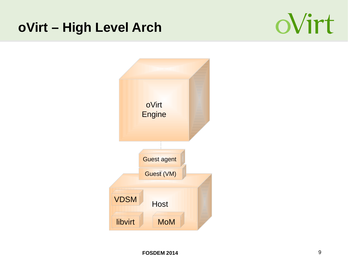### **oVirt – High Level Arch**



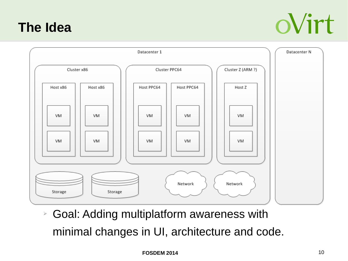#### **The Idea**





➢ Goal: Adding multiplatform awareness with minimal changes in UI, architecture and code.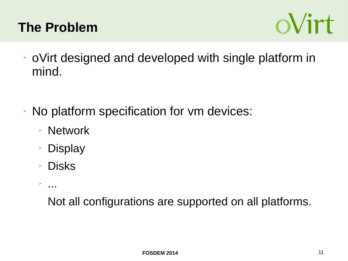## **The Problem**



- ➢ oVirt designed and developed with single platform in mind.
- ➢ No platform specification for vm devices:
	- ➢ Network
	- ➢ Display
	- ➢ Disks
	- $\geq$

Not all configurations are supported on all platforms.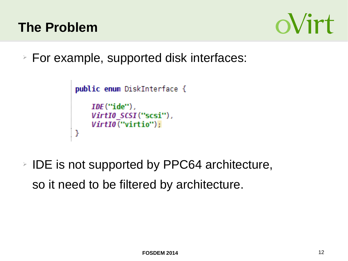



➢ For example, supported disk interfaces:

```
public enum DiskInterface {
    IDE("ide"),
    VirtI0 SCSI ("scsi"),
    VirtI0<sup>("</sup>virtio");
J
```
➢ IDE is not supported by PPC64 architecture, so it need to be filtered by architecture.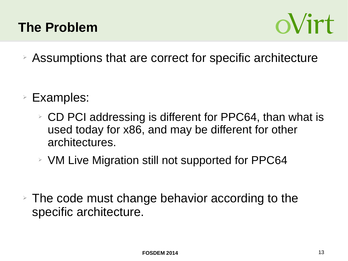## **The Problem**



- ➢ Assumptions that are correct for specific architecture
- ➢ Examples:
	- ➢ CD PCI addressing is different for PPC64, than what is used today for x86, and may be different for other architectures.
	- ➢ VM Live Migration still not supported for PPC64
- $\triangleright$  The code must change behavior according to the specific architecture.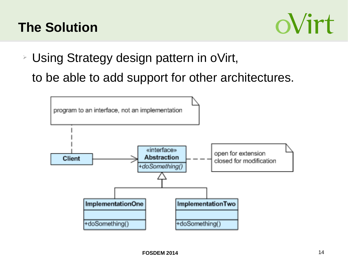# **The Solution**



➢ Using Strategy design pattern in oVirt, to be able to add support for other architectures.

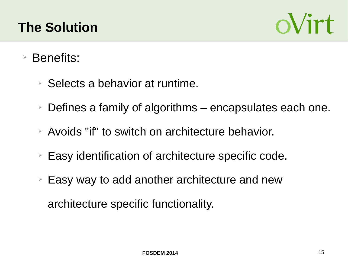# **The Solution**



- Benefits:
	- $\triangleright$  Selects a behavior at runtime.
	- $\ge$  Defines a family of algorithms encapsulates each one.
	- ➢ Avoids "if" to switch on architecture behavior.
	- ➢ Easy identification of architecture specific code.
	- ➢ Easy way to add another architecture and new architecture specific functionality.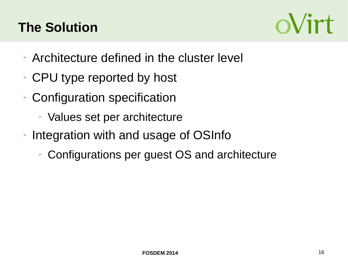# **The Solution**



- ➢ Architecture defined in the cluster level
- ➢ CPU type reported by host
- ➢ Configuration specification
	- ➢ Values set per architecture
- ➢ Integration with and usage of OSInfo
	- ➢ Configurations per guest OS and architecture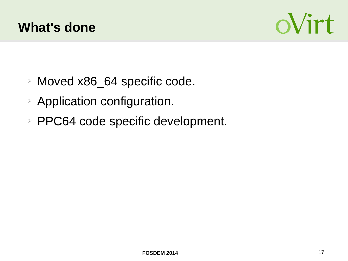



- ➢ Moved x86\_64 specific code.
- ➢ Application configuration.
- ➢ PPC64 code specific development.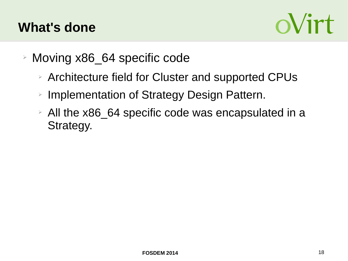

- ➢ Moving x86\_64 specific code
	- ➢ Architecture field for Cluster and supported CPUs
	- ➢ Implementation of Strategy Design Pattern.
	- ➢ All the x86\_64 specific code was encapsulated in a Strategy.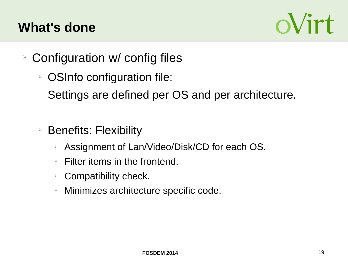

- ➢ Configuration w/ config files
	- ➢ OSInfo configuration file:

Settings are defined per OS and per architecture.

- ➢ Benefits: Flexibility
	- ➢ Assignment of Lan/Video/Disk/CD for each OS.
	- $\triangleright$  Filter items in the frontend.
	- $\triangleright$  Compatibility check.
	- ➢ Minimizes architecture specific code.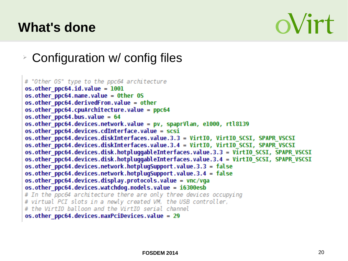# oVirt

➢ Configuration w/ config files

```
# "Other OS" type to the ppc64 architecture
os.other\ pocs4.id.value = 1001os.other ppc64.name.value = Other OSos.other ppc64.derivedFrom.value = other
os. other ppc64.cpuArchitecture. value = ppc64os.other ppc64.bus.value = 64
os.other ppc64.devices.network.value = pv, spaprVlan, e1000, rtl8139
os.other ppc64.devices.cdInterface.value = scsi
os.other ppc64.devices.diskInterfaces.value.3.3 = VirtIO, VirtIO SCSI, SPAPR VSCSI
os.other ppc64.devices.diskInterfaces.value.3.4 = VirtIO, VirtIO SCSI, SPAPR VSCSI
os.other ppc64.devices.disk.hotpluggableInterfaces.value.3.3 = VirtIO SCSI, SPAPR VSCSI
os.other ppc64.devices.disk.hotpluggableInterfaces.value.3.4 = VirtIO SCSI, SPAPR VSCSI
os.other ppc64.devices.network.hotplugSupport.value.3.3 = false
os.other ppc64.devices.network.hotplugSupport.value.3.4 = false
os.other ppc64.devices.display.protocols.value = vnc/vga
os.other ppc64.devices.watchdog.models.value = i6300esb
# In the ppc64 architecture there are only three devices occupying
# virtual PCI slots in a newly created VM, the USB controller,
# the VirtIO balloon and the VirtIO serial channel
os.other ppc64.devices.maxPciDevices.value = 29
```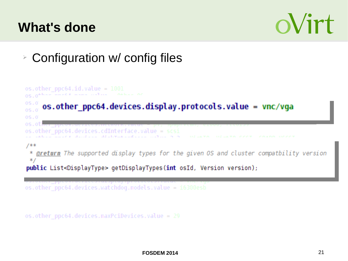

➢ Configuration w/ config files

```
os. other ppc64. id. value = 10010.8 : 0<sup>4</sup>0S.0os.other_ppc64.devices.display.protocols.value = vnc/vga
05.070S.0os.ot
os.other ppc64.devices.cdInterface.value = scsi
7*** @return The supported display types for the given OS and cluster compatbility version
 * fpublic List<DisplayType> getDisplayTypes(int osId, Version version);
os.other_ppc64.devices.watchdog.models.value = i6300esb
```
os.other ppc64.devices.maxPciDevices.value = 29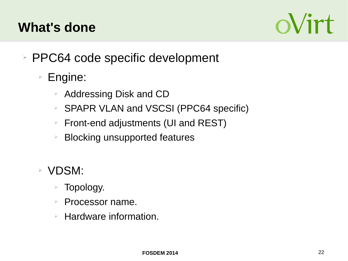

- ➢ PPC64 code specific development
	- ➢ Engine:
		- ➢ Addressing Disk and CD
		- ➢ SPAPR VLAN and VSCSI (PPC64 specific)
		- ➢ Front-end adjustments (UI and REST)
		- $\geq$  Blocking unsupported features
	- ➢ VDSM:
		- ➢ Topology.
		- ➢ Processor name.
		- $\triangleright$  Hardware information.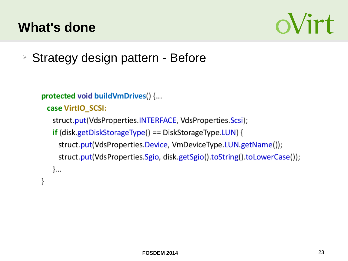

➢ Strategy design pattern - Before

```
protected void buildVmDrives() {...
```

```
case VirtIO_SCSI:
```

```
struct.put(VdsProperties.INTERFACE, VdsProperties.Scsi);
```

```
\mathbf{if} (disk.getDiskStorageType() == DiskStorageType.LUN) {
```

```
struct.put(VdsProperties.Device, VmDeviceType.LUN.getName());
```

```
struct.put(VdsProperties.Sgio, disk.getSgio().toString().toLowerCase());
```

```
\}...
```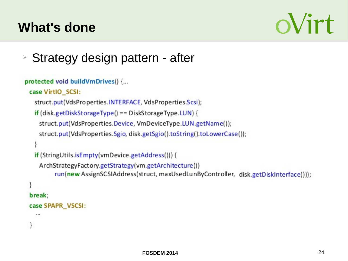# oVirt

➢ Strategy design pattern - after

```
protected void buildVmDrives() {...
 case VirtIO SCSI:
   struct.put(VdsProperties.INTERFACE, VdsProperties.Scsi);
   \mathbf{if} (disk.getDiskStorageType() == DiskStorageType.LUN) {
    struct.put(VdsProperties.Device, VmDeviceType.LUN.getName());
    struct.put(VdsProperties.Sgio, disk.getSgio().toString().toLowerCase());
   if (StringUtils.isEmpty(vmDevice.getAddress())) {
    ArchStrategyFactory.getStrategy(vm.getArchitecture())
          run(new AssignSCSIAddress(struct, maxUsedLunByController, disk.getDiskInterface()));
```

```
break;
case SPAPR_VSCSI:
```
an ma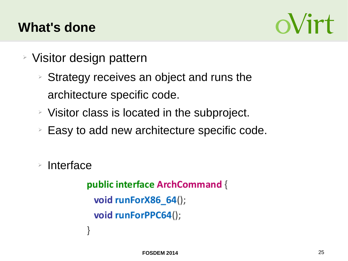

- ➢ Visitor design pattern
	- ➢ Strategy receives an object and runs the architecture specific code.
	- ➢ Visitor class is located in the subproject.
	- ➢ Easy to add new architecture specific code.

➢ Interface

```
public interface ArchCommand {
 void runForX86_64();
 void runForPPC64();
ł
```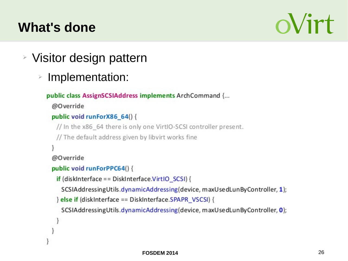# oVirt

- ➢ Visitor design pattern
	- ➢ Implementation:

```
public class AssignSCSIAddress implements ArchCommand {...
```
@Override

```
public void runForX86 64() {
```

```
// In the x86 64 there is only one VirtIO-SCSI controller present.
```
// The default address given by libvirt works fine

@Override

```
public void runForPPC64() {
```

```
if (diskInterface == DiskInterface.VirtIO SCSI) {
```
SCSIAddressingUtils.dynamicAddressing(device, maxUsedLunByController, 1);

```
} else if (diskinterface == Diskinterface.SPAPR_VSCSI) {
```
SCSIAddressingUtils.dynamicAddressing(device, maxUsedLunByController, 0);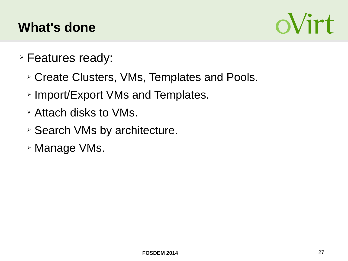

- ➢ Features ready:
	- ➢ Create Clusters, VMs, Templates and Pools.
	- ➢ Import/Export VMs and Templates.
	- ➢ Attach disks to VMs.
	- ➢ Search VMs by architecture.
	- ➢ Manage VMs.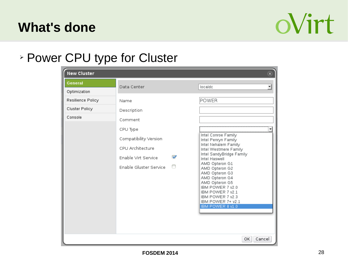

#### ➢ Power CPU type for Cluster

| <b>New Cluster</b>             |                                                                                                                         | $\circledast$                                                                                                                                                             |
|--------------------------------|-------------------------------------------------------------------------------------------------------------------------|---------------------------------------------------------------------------------------------------------------------------------------------------------------------------|
| <b>General</b><br>Optimization | Data Center                                                                                                             | localdc                                                                                                                                                                   |
| Resilience Policy              | Name                                                                                                                    | POWER                                                                                                                                                                     |
| Cluster Policy<br>Console      | Description<br>Comment<br>CPU Type<br>Compatibility Version<br>CPU Architecture<br>$\mathscr{D}$<br>Enable Virt Service | Intel Conroe Family<br>Intel Penryn Family<br>Intel Nehalem Family<br>Intel Westmere Family<br>Intel SandyBridge Family<br>Intel Haswell<br>AMD Opteron G1                |
|                                | Enable Gluster Service                                                                                                  | AMD Opteron G2<br>AMD Opteron G3<br>AMD Opteron G4<br>AMD Opteron G5<br>IBM POWER 7 v2.0<br>IBM POWER 7 v2.1<br>IBM POWER 7 v2.3<br>IBM POWER 7+ v2.1<br>IBM POWER 8 v1.0 |
|                                |                                                                                                                         | Cancel<br>ОΚ                                                                                                                                                              |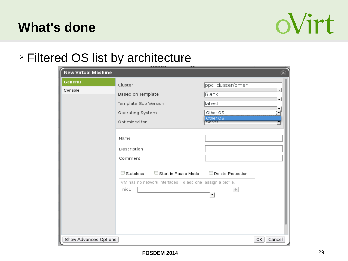

#### ➢ Filtered OS list by architecture

| <b>New Virtual Machine</b> |                                                                                                              | $(\widehat{\mathbf{x}})$                                                                               |
|----------------------------|--------------------------------------------------------------------------------------------------------------|--------------------------------------------------------------------------------------------------------|
| General<br>Console         | Cluster<br>Based on Template<br>Template Sub Version<br>Operating System<br>Optimized for                    | ppc cluster/omer<br>$\overline{\phantom{a}}$<br>Blank<br>▼<br>latest<br>Other OS<br>Other OS<br>Server |
|                            | Name<br>Description<br>Comment                                                                               |                                                                                                        |
|                            | Start in Pause Mode<br>Stateless<br>□<br>VM has no network interfaces. To add one, assign a profile.<br>nic1 | Delete Protection<br>÷.                                                                                |
| Show Advanced Options      |                                                                                                              | ОΚ<br>Cancel                                                                                           |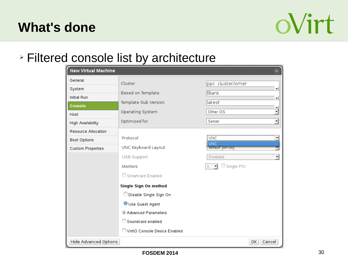

#### ➢ Filtered console list by architecture

| <b>New Virtual Machine</b> |                               | $\circledast$                             |
|----------------------------|-------------------------------|-------------------------------------------|
| General                    | Cluster                       | ppc cluster/omer                          |
| System<br>Initial Run      | Based on Template             | ▼<br>Blank                                |
| Console                    | Template Sub Version          | ▼<br>latest                               |
| Host                       | Operating System              | ۰<br>$\overline{\phantom{0}}$<br>Other OS |
| High Availability          | Optimized for                 | ⊣<br>Server                               |
| Resource Allocation        |                               |                                           |
| Boot Options               | Protocol                      | VNC<br>▼<br>VNC                           |
| Custom Properties          | VNC Keyboard Layout           | default   en-us                           |
|                            | USB Support                   | $\overline{\phantom{a}}$<br>Disabled      |
|                            | Monitors                      | Single PCI                                |
|                            | Smartcard Enabled             |                                           |
|                            | Single Sign On method         |                                           |
|                            | Disable Single Sign On        |                                           |
|                            | Use Guest Agent               |                                           |
|                            | Advanced Parameters           |                                           |
|                            | $\Box$ Soundcard enabled      |                                           |
|                            | VirtIO Console Device Enabled |                                           |
| Hide Advanced Options      |                               | Cancel<br>ОΚ                              |

**FOSDEM 2014** 30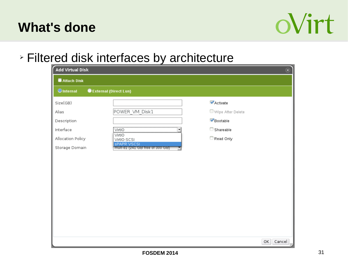

#### ➢ Filtered disk interfaces by architecture

| Attach Disk                                                                          |                                                                                                            |                                                                            |  |
|--------------------------------------------------------------------------------------|------------------------------------------------------------------------------------------------------------|----------------------------------------------------------------------------|--|
| <b>O</b> Internal                                                                    | CExternal (Direct Lun)                                                                                     |                                                                            |  |
| Size(GB)<br>Alias<br>Description<br>Interface<br>Allocation Policy<br>Storage Domain | POWER_VM_Disk1<br>VirtIO<br>VirtIO<br>VirtIO-SCSI<br><b>SPAPR VSCSI</b><br>mult-d1 (241 GB free of 300 GB) | Activate<br>$\Box$ Wipe After Delete<br>Bootable<br>Shareable<br>Read Only |  |
|                                                                                      |                                                                                                            |                                                                            |  |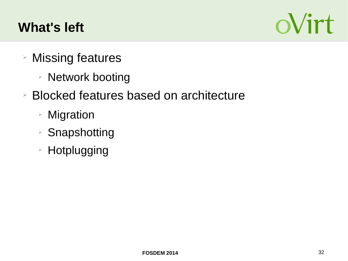# **What's left**



- ➢ Missing features
	- ➢ Network booting
- ➢ Blocked features based on architecture
	- ➢ Migration
	- ➢ Snapshotting
	- ➢ Hotplugging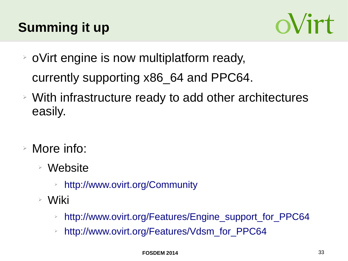# **Summing it up**



- ➢ oVirt engine is now multiplatform ready, currently supporting x86\_64 and PPC64.
- ➢ With infrastructure ready to add other architectures easily.
- ➢ More info:
	- ➢ Website
		- ➢ <http://www.ovirt.org/Community>
	- ➢ Wiki
		- ➢ [http://www.ovirt.org/Features/Engine\\_support\\_for\\_PPC64](http://www.ovirt.org/Features/Engine_support_for_PPC64)
		- ➢ [http://www.ovirt.org/Features/Vdsm\\_for\\_PPC64](http://www.ovirt.org/Features/Vdsm_for_PPC64)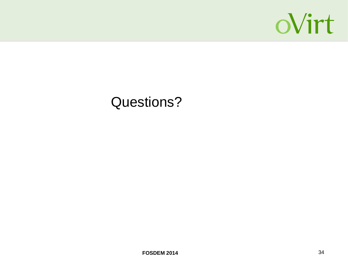

# Questions?